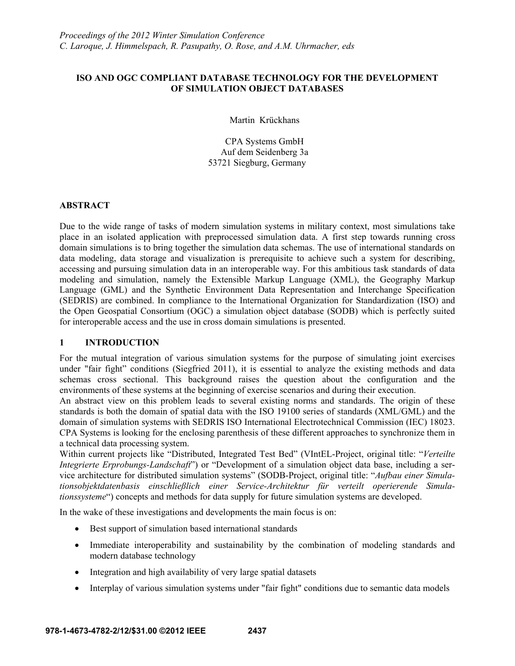### **ISO AND OGC COMPLIANT DATABASE TECHNOLOGY FOR THE DEVELOPMENT OF SIMULATION OBJECT DATABASES**

Martin Krückhans

CPA Systems GmbH Auf dem Seidenberg 3a 53721 Siegburg, Germany

#### **ABSTRACT**

Due to the wide range of tasks of modern simulation systems in military context, most simulations take place in an isolated application with preprocessed simulation data. A first step towards running cross domain simulations is to bring together the simulation data schemas. The use of international standards on data modeling, data storage and visualization is prerequisite to achieve such a system for describing, accessing and pursuing simulation data in an interoperable way. For this ambitious task standards of data modeling and simulation, namely the Extensible Markup Language (XML), the Geography Markup Language (GML) and the Synthetic Environment Data Representation and Interchange Specification (SEDRIS) are combined. In compliance to the International Organization for Standardization (ISO) and the Open Geospatial Consortium (OGC) a simulation object database (SODB) which is perfectly suited for interoperable access and the use in cross domain simulations is presented.

#### **1 INTRODUCTION**

For the mutual integration of various simulation systems for the purpose of simulating joint exercises under "fair fight" conditions (Siegfried 2011), it is essential to analyze the existing methods and data schemas cross sectional. This background raises the question about the configuration and the environments of these systems at the beginning of exercise scenarios and during their execution.

An abstract view on this problem leads to several existing norms and standards. The origin of these standards is both the domain of spatial data with the ISO 19100 series of standards (XML/GML) and the domain of simulation systems with SEDRIS ISO International Electrotechnical Commission (IEC) 18023. CPA Systems is looking for the enclosing parenthesis of these different approaches to synchronize them in a technical data processing system.

Within current projects like "Distributed, Integrated Test Bed" (VIntEL-Project, original title: "*Verteilte Integrierte Erprobungs-Landschaft*") or "Development of a simulation object data base, including a service architecture for distributed simulation systems" (SODB-Project, original title: "*Aufbau einer Simulationsobjektdatenbasis einschließlich einer Service-Architektur für verteilt operierende Simulationssysteme*") concepts and methods for data supply for future simulation systems are developed.

In the wake of these investigations and developments the main focus is on:

- Best support of simulation based international standards
- Immediate interoperability and sustainability by the combination of modeling standards and modern database technology
- Integration and high availability of very large spatial datasets
- Interplay of various simulation systems under "fair fight" conditions due to semantic data models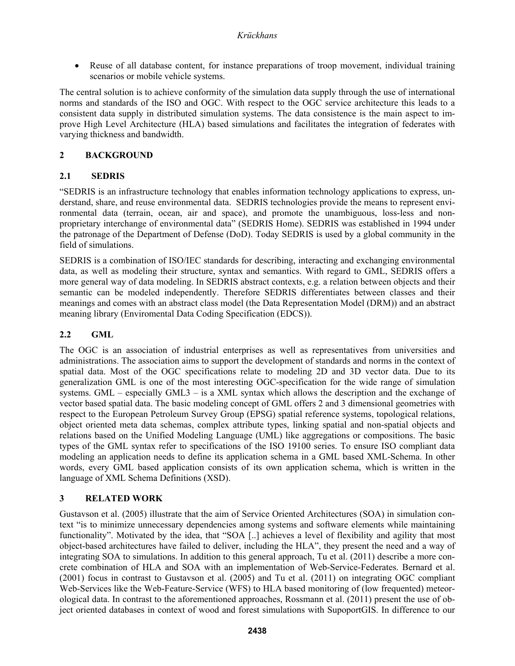Reuse of all database content, for instance preparations of troop movement, individual training scenarios or mobile vehicle systems.

The central solution is to achieve conformity of the simulation data supply through the use of international norms and standards of the ISO and OGC. With respect to the OGC service architecture this leads to a consistent data supply in distributed simulation systems. The data consistence is the main aspect to improve High Level Architecture (HLA) based simulations and facilitates the integration of federates with varying thickness and bandwidth.

## **2 BACKGROUND**

## **2.1 SEDRIS**

"SEDRIS is an infrastructure technology that enables information technology applications to express, understand, share, and reuse environmental data. SEDRIS technologies provide the means to represent environmental data (terrain, ocean, air and space), and promote the unambiguous, loss-less and nonproprietary interchange of environmental data" (SEDRIS Home). SEDRIS was established in 1994 under the patronage of the Department of Defense (DoD). Today SEDRIS is used by a global community in the field of simulations.

SEDRIS is a combination of ISO/IEC standards for describing, interacting and exchanging environmental data, as well as modeling their structure, syntax and semantics. With regard to GML, SEDRIS offers a more general way of data modeling. In SEDRIS abstract contexts, e.g. a relation between objects and their semantic can be modeled independently. Therefore SEDRIS differentiates between classes and their meanings and comes with an abstract class model (the Data Representation Model (DRM)) and an abstract meaning library (Enviromental Data Coding Specification (EDCS)).

## **2.2 GML**

The OGC is an association of industrial enterprises as well as representatives from universities and administrations. The association aims to support the development of standards and norms in the context of spatial data. Most of the OGC specifications relate to modeling 2D and 3D vector data. Due to its generalization GML is one of the most interesting OGC-specification for the wide range of simulation systems. GML – especially GML3 – is a XML syntax which allows the description and the exchange of vector based spatial data. The basic modeling concept of GML offers 2 and 3 dimensional geometries with respect to the European Petroleum Survey Group (EPSG) spatial reference systems, topological relations, object oriented meta data schemas, complex attribute types, linking spatial and non-spatial objects and relations based on the Unified Modeling Language (UML) like aggregations or compositions. The basic types of the GML syntax refer to specifications of the ISO 19100 series. To ensure ISO compliant data modeling an application needs to define its application schema in a GML based XML-Schema. In other words, every GML based application consists of its own application schema, which is written in the language of XML Schema Definitions (XSD).

## **3 RELATED WORK**

Gustavson et al. (2005) illustrate that the aim of Service Oriented Architectures (SOA) in simulation context "is to minimize unnecessary dependencies among systems and software elements while maintaining functionality". Motivated by the idea, that "SOA [..] achieves a level of flexibility and agility that most object-based architectures have failed to deliver, including the HLA", they present the need and a way of integrating SOA to simulations. In addition to this general approach, Tu et al. (2011) describe a more concrete combination of HLA and SOA with an implementation of Web-Service-Federates. Bernard et al. (2001) focus in contrast to Gustavson et al. (2005) and Tu et al. (2011) on integrating OGC compliant Web-Services like the Web-Feature-Service (WFS) to HLA based monitoring of (low frequented) meteorological data. In contrast to the aforementioned approaches, Rossmann et al. (2011) present the use of object oriented databases in context of wood and forest simulations with SupoportGIS. In difference to our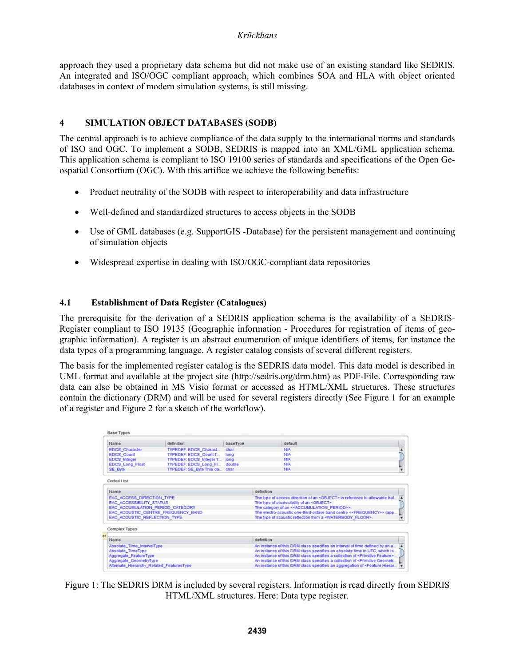approach they used a proprietary data schema but did not make use of an existing standard like SEDRIS. An integrated and ISO/OGC compliant approach, which combines SOA and HLA with object oriented databases in context of modern simulation systems, is still missing.

## **4 SIMULATION OBJECT DATABASES (SODB)**

The central approach is to achieve compliance of the data supply to the international norms and standards of ISO and OGC. To implement a SODB, SEDRIS is mapped into an XML/GML application schema. This application schema is compliant to ISO 19100 series of standards and specifications of the Open Geospatial Consortium (OGC). With this artifice we achieve the following benefits:

- Product neutrality of the SODB with respect to interoperability and data infrastructure
- Well-defined and standardized structures to access objects in the SODB
- Use of GML databases (e.g. SupportGIS -Database) for the persistent management and continuing of simulation objects
- Widespread expertise in dealing with ISO/OGC-compliant data repositories

## **4.1 Establishment of Data Register (Catalogues)**

The prerequisite for the derivation of a SEDRIS application schema is the availability of a SEDRIS-Register compliant to ISO 19135 (Geographic information - Procedures for registration of items of geographic information). A register is an abstract enumeration of unique identifiers of items, for instance the data types of a programming language. A register catalog consists of several different registers.

The basis for the implemented register catalog is the SEDRIS data model. This data model is described in UML format and available at the project site (http://sedris.org/drm.htm) as PDF-File. Corresponding raw data can also be obtained in MS Visio format or accessed as HTML/XML structures. These structures contain the dictionary (DRM) and will be used for several registers directly (See Figure 1 for an example of a register and Figure 2 for a sketch of the workflow).

| Name                                     | definition                   | baseType | default                                                                                               |  |
|------------------------------------------|------------------------------|----------|-------------------------------------------------------------------------------------------------------|--|
|                                          |                              | char     | NIA                                                                                                   |  |
| <b>EDCS</b> Character                    | TYPEDEF: EDCS_Charact        |          | NIA                                                                                                   |  |
| <b>EDCS_Count</b>                        | <b>TYPEDEF: EDCS_Count T</b> | long     | <b>NIA</b>                                                                                            |  |
| <b>EDCS</b> Integer                      | TYPEDEF: EDCS_Integer T      | long     |                                                                                                       |  |
| <b>EDCS Long Float</b>                   | TYPEDEF: EDCS_Long_FI        | double   | NIA                                                                                                   |  |
| SE Byte                                  | TYPEDEF: SE_Byte This da     | char     | NIA                                                                                                   |  |
| Coded List                               |                              |          |                                                                                                       |  |
| Name                                     |                              |          | definition                                                                                            |  |
| EAC ACCESS DIRECTION TYPE                |                              |          | The type of access direction of an <object> in reference to allowable traf</object>                   |  |
| EAC_ACCESSIBILITY_STATUS                 |                              |          | The type of accessibility of an <object>.</object>                                                    |  |
| EAC ACCUMULATION PERIOD CATEGORY         |                              |          | The category of an < <accumulation period="">&gt;.</accumulation>                                     |  |
| EAC_ACOUSTIC_CENTRE_FREQUENCY_BAND       |                              |          | The electro-acoustic one-third-octave band centre < <frequency>&gt; (app</frequency>                  |  |
| EAC ACOUSTIC REFLECTION TYPE             |                              |          | The type of acoustic reflection from a <waterbody_floor>.</waterbody_floor>                           |  |
| Complex Types                            |                              |          |                                                                                                       |  |
| Name                                     |                              |          | definition                                                                                            |  |
| Absolute Time IntervalType               |                              |          | An instance of this DRM class specifies an interval of time defined by an a                           |  |
| Absolute TimeType                        |                              |          | An instance of this DRM class specifies an absolute time in UTC, which is                             |  |
| Aggregate FeatureType                    |                              |          | An instance of this DRM class specifies a collection of «Primitive Feature»                           |  |
| Aggregate_GeometryType                   |                              |          | An instance of this DRM class specifies a collection of <primitive <="" geometr="" td=""></primitive> |  |
| Alternate Hierarchy Related FeaturesType |                              |          | An instance of this DRM class specifies an aggregation of <feature hierar="" td="" v<=""></feature>   |  |

Figure 1: The SEDRIS DRM is included by several registers. Information is read directly from SEDRIS HTML/XML structures. Here: Data type register.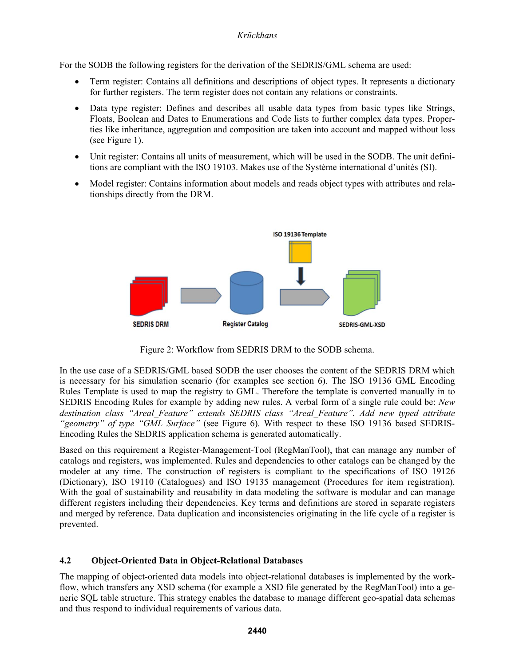For the SODB the following registers for the derivation of the SEDRIS/GML schema are used:

- Term register: Contains all definitions and descriptions of object types. It represents a dictionary for further registers. The term register does not contain any relations or constraints.
- Data type register: Defines and describes all usable data types from basic types like Strings, Floats, Boolean and Dates to Enumerations and Code lists to further complex data types. Properties like inheritance, aggregation and composition are taken into account and mapped without loss (see Figure 1).
- Unit register: Contains all units of measurement, which will be used in the SODB. The unit definitions are compliant with the ISO 19103. Makes use of the Système international d'unités (SI).
- Model register: Contains information about models and reads object types with attributes and relationships directly from the DRM.



Figure 2: Workflow from SEDRIS DRM to the SODB schema.

In the use case of a SEDRIS/GML based SODB the user chooses the content of the SEDRIS DRM which is necessary for his simulation scenario (for examples see section 6). The ISO 19136 GML Encoding Rules Template is used to map the registry to GML. Therefore the template is converted manually in to SEDRIS Encoding Rules for example by adding new rules. A verbal form of a single rule could be: *New destination class "Areal\_Feature" extends SEDRIS class "Areal\_Feature". Add new typed attribute "geometry" of type "GML Surface"* (see Figure 6)*.* With respect to these ISO 19136 based SEDRIS-Encoding Rules the SEDRIS application schema is generated automatically.

Based on this requirement a Register-Management-Tool (RegManTool), that can manage any number of catalogs and registers, was implemented. Rules and dependencies to other catalogs can be changed by the modeler at any time. The construction of registers is compliant to the specifications of ISO 19126 (Dictionary), ISO 19110 (Catalogues) and ISO 19135 management (Procedures for item registration). With the goal of sustainability and reusability in data modeling the software is modular and can manage different registers including their dependencies. Key terms and definitions are stored in separate registers and merged by reference. Data duplication and inconsistencies originating in the life cycle of a register is prevented.

## **4.2 Object-Oriented Data in Object-Relational Databases**

The mapping of object-oriented data models into object-relational databases is implemented by the workflow, which transfers any XSD schema (for example a XSD file generated by the RegManTool) into a generic SQL table structure. This strategy enables the database to manage different geo-spatial data schemas and thus respond to individual requirements of various data.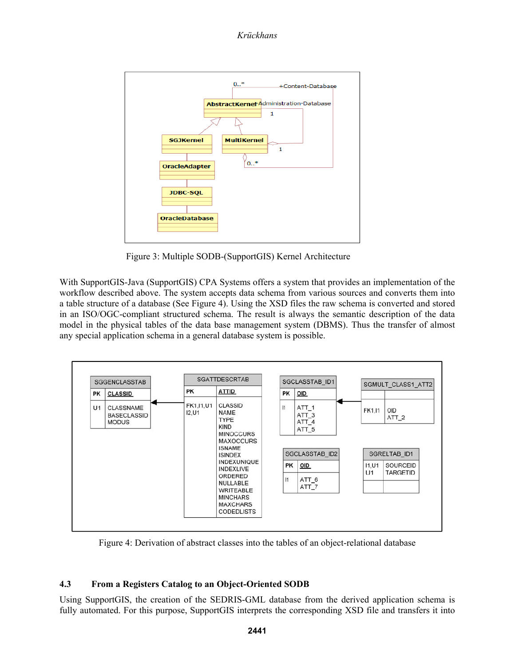*Krückhans* 



Figure 3: Multiple SODB-(SupportGIS) Kernel Architecture

With SupportGIS-Java (SupportGIS) CPA Systems offers a system that provides an implementation of the workflow described above. The system accepts data schema from various sources and converts them into a table structure of a database (See Figure 4). Using the XSD files the raw schema is converted and stored in an ISO/OGC-compliant structured schema. The result is always the semantic description of the data model in the physical tables of the data base management system (DBMS). Thus the transfer of almost any special application schema in a general database system is possible.



Figure 4: Derivation of abstract classes into the tables of an object-relational database

# **4.3 From a Registers Catalog to an Object-Oriented SODB**

Using SupportGIS, the creation of the SEDRIS-GML database from the derived application schema is fully automated. For this purpose, SupportGIS interprets the corresponding XSD file and transfers it into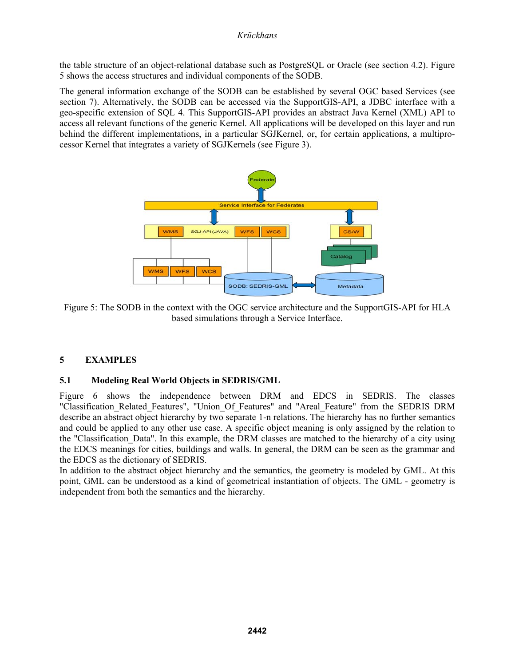the table structure of an object-relational database such as PostgreSQL or Oracle (see section 4.2). Figure 5 shows the access structures and individual components of the SODB.

The general information exchange of the SODB can be established by several OGC based Services (see section 7). Alternatively, the SODB can be accessed via the SupportGIS-API, a JDBC interface with a geo-specific extension of SQL 4. This SupportGIS-API provides an abstract Java Kernel (XML) API to access all relevant functions of the generic Kernel. All applications will be developed on this layer and run behind the different implementations, in a particular SGJKernel, or, for certain applications, a multiprocessor Kernel that integrates a variety of SGJKernels (see Figure 3).



Figure 5: The SODB in the context with the OGC service architecture and the SupportGIS-API for HLA based simulations through a Service Interface.

# **5 EXAMPLES**

## **5.1 Modeling Real World Objects in SEDRIS/GML**

Figure 6 shows the independence between DRM and EDCS in SEDRIS. The classes "Classification Related Features", "Union Of Features" and "Areal Feature" from the SEDRIS DRM describe an abstract object hierarchy by two separate 1-n relations. The hierarchy has no further semantics and could be applied to any other use case. A specific object meaning is only assigned by the relation to the "Classification\_Data". In this example, the DRM classes are matched to the hierarchy of a city using the EDCS meanings for cities, buildings and walls. In general, the DRM can be seen as the grammar and the EDCS as the dictionary of SEDRIS.

In addition to the abstract object hierarchy and the semantics, the geometry is modeled by GML. At this point, GML can be understood as a kind of geometrical instantiation of objects. The GML - geometry is independent from both the semantics and the hierarchy.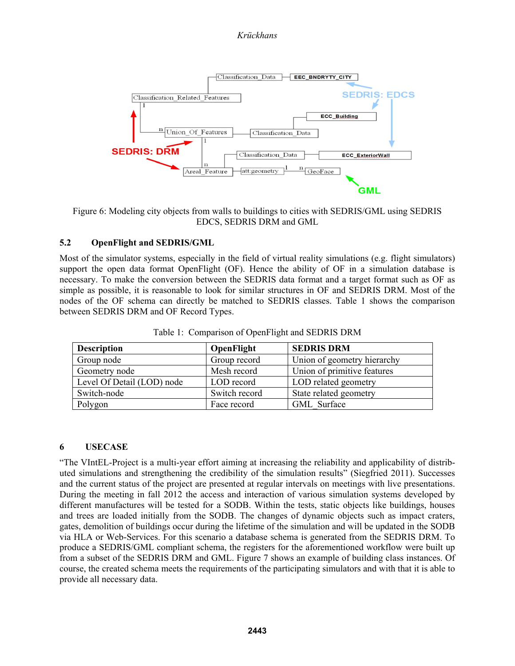

Figure 6: Modeling city objects from walls to buildings to cities with SEDRIS/GML using SEDRIS EDCS, SEDRIS DRM and GML

### **5.2 OpenFlight and SEDRIS/GML**

Most of the simulator systems, especially in the field of virtual reality simulations (e.g. flight simulators) support the open data format OpenFlight (OF). Hence the ability of OF in a simulation database is necessary. To make the conversion between the SEDRIS data format and a target format such as OF as simple as possible, it is reasonable to look for similar structures in OF and SEDRIS DRM. Most of the nodes of the OF schema can directly be matched to SEDRIS classes. Table 1 shows the comparison between SEDRIS DRM and OF Record Types.

| <b>Description</b>         | <b>OpenFlight</b> | <b>SEDRIS DRM</b>           |
|----------------------------|-------------------|-----------------------------|
| Group node                 | Group record      | Union of geometry hierarchy |
| Geometry node              | Mesh record       | Union of primitive features |
| Level Of Detail (LOD) node | LOD record        | LOD related geometry        |
| Switch-node                | Switch record     | State related geometry      |
| Polygon                    | Face record       | <b>GML</b> Surface          |

Table 1: Comparison of OpenFlight and SEDRIS DRM

## **6 USECASE**

"The VIntEL-Project is a multi-year effort aiming at increasing the reliability and applicability of distributed simulations and strengthening the credibility of the simulation results" (Siegfried 2011). Successes and the current status of the project are presented at regular intervals on meetings with live presentations. During the meeting in fall 2012 the access and interaction of various simulation systems developed by different manufactures will be tested for a SODB. Within the tests, static objects like buildings, houses and trees are loaded initially from the SODB. The changes of dynamic objects such as impact craters, gates, demolition of buildings occur during the lifetime of the simulation and will be updated in the SODB via HLA or Web-Services. For this scenario a database schema is generated from the SEDRIS DRM. To produce a SEDRIS/GML compliant schema, the registers for the aforementioned workflow were built up from a subset of the SEDRIS DRM and GML. Figure 7 shows an example of building class instances. Of course, the created schema meets the requirements of the participating simulators and with that it is able to provide all necessary data.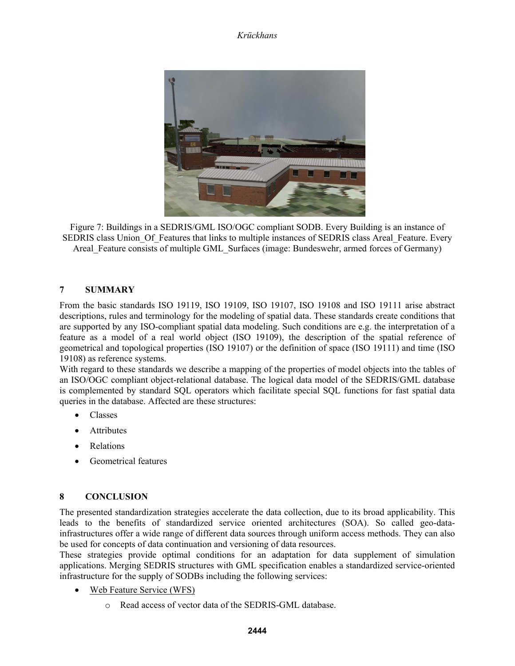

Figure 7: Buildings in a SEDRIS/GML ISO/OGC compliant SODB. Every Building is an instance of SEDRIS class Union Of Features that links to multiple instances of SEDRIS class Areal Feature. Every Areal Feature consists of multiple GML Surfaces (image: Bundeswehr, armed forces of Germany)

## **7 SUMMARY**

From the basic standards ISO 19119, ISO 19109, ISO 19107, ISO 19108 and ISO 19111 arise abstract descriptions, rules and terminology for the modeling of spatial data. These standards create conditions that are supported by any ISO-compliant spatial data modeling. Such conditions are e.g. the interpretation of a feature as a model of a real world object (ISO 19109), the description of the spatial reference of geometrical and topological properties (ISO 19107) or the definition of space (ISO 19111) and time (ISO 19108) as reference systems.

With regard to these standards we describe a mapping of the properties of model objects into the tables of an ISO/OGC compliant object-relational database. The logical data model of the SEDRIS/GML database is complemented by standard SQL operators which facilitate special SQL functions for fast spatial data queries in the database. Affected are these structures:

- Classes
- Attributes
- Relations
- Geometrical features

# **8 CONCLUSION**

The presented standardization strategies accelerate the data collection, due to its broad applicability. This leads to the benefits of standardized service oriented architectures (SOA). So called geo-datainfrastructures offer a wide range of different data sources through uniform access methods. They can also be used for concepts of data continuation and versioning of data resources.

These strategies provide optimal conditions for an adaptation for data supplement of simulation applications. Merging SEDRIS structures with GML specification enables a standardized service-oriented infrastructure for the supply of SODBs including the following services:

- Web Feature Service (WFS)
	- o Read access of vector data of the SEDRIS-GML database.